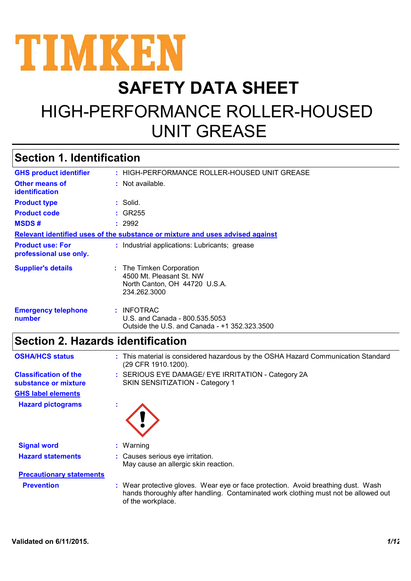

# **SAFETY DATA SHEET** HIGH-PERFORMANCE ROLLER-HOUSED UNIT GREASE

## **Section 1. Identification**

| <b>GHS product identifier</b>                                                 | : HIGH-PERFORMANCE ROLLER-HOUSED UNIT GREASE                                                          |  |
|-------------------------------------------------------------------------------|-------------------------------------------------------------------------------------------------------|--|
| Other means of<br>identification                                              | $:$ Not available.                                                                                    |  |
| <b>Product type</b>                                                           | : Solid.                                                                                              |  |
| <b>Product code</b>                                                           | $:$ GR255                                                                                             |  |
| <b>MSDS#</b>                                                                  | : 2992                                                                                                |  |
| Relevant identified uses of the substance or mixture and uses advised against |                                                                                                       |  |
| <b>Product use: For</b><br>professional use only.                             | : Industrial applications: Lubricants; grease                                                         |  |
| <b>Supplier's details</b>                                                     | : The Timken Corporation<br>4500 Mt. Pleasant St. NW<br>North Canton, OH 44720 U.S.A.<br>234.262.3000 |  |
| <b>Emergency telephone</b><br>number                                          | : INFOTRAC<br>U.S. and Canada - 800.535.5053<br>Outside the U.S. and Canada - +1 352.323.3500         |  |
|                                                                               |                                                                                                       |  |

### **Section 2. Hazards identification**

| <b>OSHA/HCS status</b>                               | : This material is considered hazardous by the OSHA Hazard Communication Standard<br>(29 CFR 1910.1200).                                                                                      |
|------------------------------------------------------|-----------------------------------------------------------------------------------------------------------------------------------------------------------------------------------------------|
| <b>Classification of the</b><br>substance or mixture | : SERIOUS EYE DAMAGE/ EYE IRRITATION - Category 2A<br>SKIN SENSITIZATION - Category 1                                                                                                         |
| <b>GHS label elements</b>                            |                                                                                                                                                                                               |
| <b>Hazard pictograms</b>                             |                                                                                                                                                                                               |
| <b>Signal word</b>                                   | $:$ Warning                                                                                                                                                                                   |
| <b>Hazard statements</b>                             | : Causes serious eye irritation.                                                                                                                                                              |
|                                                      | May cause an allergic skin reaction.                                                                                                                                                          |
| <b>Precautionary statements</b>                      |                                                                                                                                                                                               |
| <b>Prevention</b>                                    | : Wear protective gloves. Wear eye or face protection. Avoid breathing dust. Wash<br>hands thoroughly after handling. Contaminated work clothing must not be allowed out<br>of the workplace. |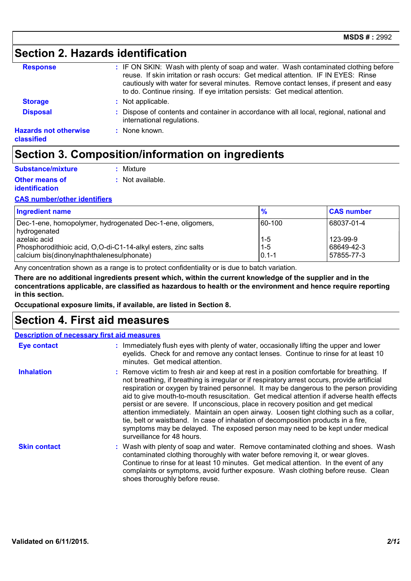## **Section 2. Hazards identification**

| <b>Response</b>                            | : IF ON SKIN: Wash with plenty of soap and water. Wash contaminated clothing before<br>reuse. If skin irritation or rash occurs: Get medical attention. IF IN EYES: Rinse<br>cautiously with water for several minutes. Remove contact lenses, if present and easy<br>to do. Continue rinsing. If eye irritation persists: Get medical attention. |
|--------------------------------------------|---------------------------------------------------------------------------------------------------------------------------------------------------------------------------------------------------------------------------------------------------------------------------------------------------------------------------------------------------|
| <b>Storage</b>                             | : Not applicable.                                                                                                                                                                                                                                                                                                                                 |
| <b>Disposal</b>                            | : Dispose of contents and container in accordance with all local, regional, national and<br>international regulations.                                                                                                                                                                                                                            |
| <b>Hazards not otherwise</b><br>classified | $:$ None known.                                                                                                                                                                                                                                                                                                                                   |

### **Section 3. Composition/information on ingredients**

| Substance/mixture     | : Mixture          |
|-----------------------|--------------------|
| Other means of        | $:$ Not available. |
| <b>identification</b> |                    |

#### **CAS number/other identifiers**

| <b>Ingredient name</b>                                                        | $\frac{6}{6}$      | <b>CAS number</b>      |
|-------------------------------------------------------------------------------|--------------------|------------------------|
| Dec-1-ene, homopolymer, hydrogenated Dec-1-ene, oligomers,<br>hydrogenated    | 160-100            | 68037-01-4             |
| azelaic acid<br>Phosphorodithioic acid, O,O-di-C1-14-alkyl esters, zinc salts | $1 - 5$<br>$1 - 5$ | 123-99-9<br>68649-42-3 |
| calcium bis(dinonylnaphthalenesulphonate)                                     | $10.1 - 1$         | 57855-77-3             |

Any concentration shown as a range is to protect confidentiality or is due to batch variation.

**There are no additional ingredients present which, within the current knowledge of the supplier and in the concentrations applicable, are classified as hazardous to health or the environment and hence require reporting in this section.**

**Occupational exposure limits, if available, are listed in Section 8.**

### **Section 4. First aid measures**

| <b>Description of necessary first aid measures</b> |                                                                                                                                                                                                                                                                                                                                                                                                                                                                                                                                                                                                                                                                                                                                                                        |  |  |
|----------------------------------------------------|------------------------------------------------------------------------------------------------------------------------------------------------------------------------------------------------------------------------------------------------------------------------------------------------------------------------------------------------------------------------------------------------------------------------------------------------------------------------------------------------------------------------------------------------------------------------------------------------------------------------------------------------------------------------------------------------------------------------------------------------------------------------|--|--|
| <b>Eye contact</b>                                 | : Immediately flush eyes with plenty of water, occasionally lifting the upper and lower<br>eyelids. Check for and remove any contact lenses. Continue to rinse for at least 10<br>minutes. Get medical attention.                                                                                                                                                                                                                                                                                                                                                                                                                                                                                                                                                      |  |  |
| <b>Inhalation</b>                                  | : Remove victim to fresh air and keep at rest in a position comfortable for breathing. If<br>not breathing, if breathing is irregular or if respiratory arrest occurs, provide artificial<br>respiration or oxygen by trained personnel. It may be dangerous to the person providing<br>aid to give mouth-to-mouth resuscitation. Get medical attention if adverse health effects<br>persist or are severe. If unconscious, place in recovery position and get medical<br>attention immediately. Maintain an open airway. Loosen tight clothing such as a collar,<br>tie, belt or waistband. In case of inhalation of decomposition products in a fire,<br>symptoms may be delayed. The exposed person may need to be kept under medical<br>surveillance for 48 hours. |  |  |
| <b>Skin contact</b>                                | : Wash with plenty of soap and water. Remove contaminated clothing and shoes. Wash<br>contaminated clothing thoroughly with water before removing it, or wear gloves.<br>Continue to rinse for at least 10 minutes. Get medical attention. In the event of any<br>complaints or symptoms, avoid further exposure. Wash clothing before reuse. Clean<br>shoes thoroughly before reuse.                                                                                                                                                                                                                                                                                                                                                                                  |  |  |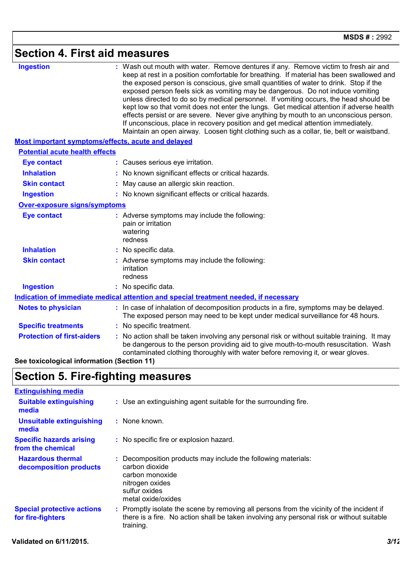# **Section 4. First aid measures**

| <b>Ingestion</b>                                   | : Wash out mouth with water. Remove dentures if any. Remove victim to fresh air and<br>keep at rest in a position comfortable for breathing. If material has been swallowed and<br>the exposed person is conscious, give small quantities of water to drink. Stop if the<br>exposed person feels sick as vomiting may be dangerous. Do not induce vomiting<br>unless directed to do so by medical personnel. If vomiting occurs, the head should be<br>kept low so that vomit does not enter the lungs. Get medical attention if adverse health<br>effects persist or are severe. Never give anything by mouth to an unconscious person.<br>If unconscious, place in recovery position and get medical attention immediately.<br>Maintain an open airway. Loosen tight clothing such as a collar, tie, belt or waistband. |
|----------------------------------------------------|---------------------------------------------------------------------------------------------------------------------------------------------------------------------------------------------------------------------------------------------------------------------------------------------------------------------------------------------------------------------------------------------------------------------------------------------------------------------------------------------------------------------------------------------------------------------------------------------------------------------------------------------------------------------------------------------------------------------------------------------------------------------------------------------------------------------------|
| Most important symptoms/effects, acute and delayed |                                                                                                                                                                                                                                                                                                                                                                                                                                                                                                                                                                                                                                                                                                                                                                                                                           |
| <b>Potential acute health effects</b>              |                                                                                                                                                                                                                                                                                                                                                                                                                                                                                                                                                                                                                                                                                                                                                                                                                           |
| <b>Eye contact</b>                                 | : Causes serious eye irritation.                                                                                                                                                                                                                                                                                                                                                                                                                                                                                                                                                                                                                                                                                                                                                                                          |
| <b>Inhalation</b>                                  | : No known significant effects or critical hazards.                                                                                                                                                                                                                                                                                                                                                                                                                                                                                                                                                                                                                                                                                                                                                                       |
| <b>Skin contact</b>                                | : May cause an allergic skin reaction.                                                                                                                                                                                                                                                                                                                                                                                                                                                                                                                                                                                                                                                                                                                                                                                    |
| <b>Ingestion</b>                                   | : No known significant effects or critical hazards.                                                                                                                                                                                                                                                                                                                                                                                                                                                                                                                                                                                                                                                                                                                                                                       |
| Over-exposure signs/symptoms                       |                                                                                                                                                                                                                                                                                                                                                                                                                                                                                                                                                                                                                                                                                                                                                                                                                           |
| <b>Eye contact</b>                                 | : Adverse symptoms may include the following:<br>pain or irritation<br>watering<br>redness                                                                                                                                                                                                                                                                                                                                                                                                                                                                                                                                                                                                                                                                                                                                |
| <b>Inhalation</b>                                  | : No specific data.                                                                                                                                                                                                                                                                                                                                                                                                                                                                                                                                                                                                                                                                                                                                                                                                       |
| <b>Skin contact</b>                                | : Adverse symptoms may include the following:<br>irritation<br>redness                                                                                                                                                                                                                                                                                                                                                                                                                                                                                                                                                                                                                                                                                                                                                    |
| <b>Ingestion</b>                                   | : No specific data.                                                                                                                                                                                                                                                                                                                                                                                                                                                                                                                                                                                                                                                                                                                                                                                                       |
|                                                    | Indication of immediate medical attention and special treatment needed, if necessary                                                                                                                                                                                                                                                                                                                                                                                                                                                                                                                                                                                                                                                                                                                                      |
| <b>Notes to physician</b>                          | : In case of inhalation of decomposition products in a fire, symptoms may be delayed.<br>The exposed person may need to be kept under medical surveillance for 48 hours.                                                                                                                                                                                                                                                                                                                                                                                                                                                                                                                                                                                                                                                  |
| <b>Specific treatments</b>                         | : No specific treatment.                                                                                                                                                                                                                                                                                                                                                                                                                                                                                                                                                                                                                                                                                                                                                                                                  |
| <b>Protection of first-aiders</b>                  | : No action shall be taken involving any personal risk or without suitable training. It may<br>be dangerous to the person providing aid to give mouth-to-mouth resuscitation. Wash<br>contaminated clothing thoroughly with water before removing it, or wear gloves.                                                                                                                                                                                                                                                                                                                                                                                                                                                                                                                                                     |
| See toxicological information (Section 11)         |                                                                                                                                                                                                                                                                                                                                                                                                                                                                                                                                                                                                                                                                                                                                                                                                                           |

# **Section 5. Fire-fighting measures**

| <b>Extinguishing media</b>                             |                                                                                                                                                                                                     |
|--------------------------------------------------------|-----------------------------------------------------------------------------------------------------------------------------------------------------------------------------------------------------|
| <b>Suitable extinguishing</b><br>media                 | : Use an extinguishing agent suitable for the surrounding fire.                                                                                                                                     |
| <b>Unsuitable extinguishing</b><br>media               | : None known.                                                                                                                                                                                       |
| <b>Specific hazards arising</b><br>from the chemical   | : No specific fire or explosion hazard.                                                                                                                                                             |
| <b>Hazardous thermal</b><br>decomposition products     | : Decomposition products may include the following materials:<br>carbon dioxide<br>carbon monoxide<br>nitrogen oxides<br>sulfur oxides<br>metal oxide/oxides                                        |
| <b>Special protective actions</b><br>for fire-fighters | : Promptly isolate the scene by removing all persons from the vicinity of the incident if<br>there is a fire. No action shall be taken involving any personal risk or without suitable<br>training. |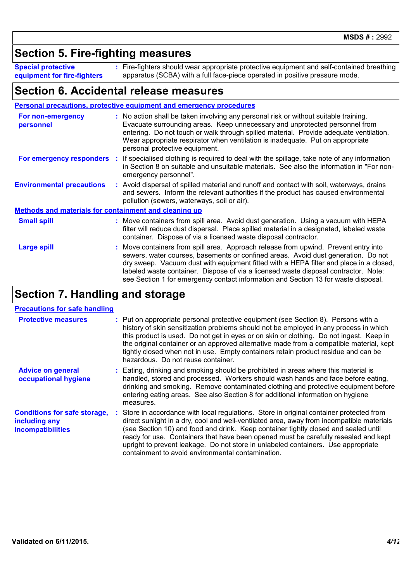### **Section 5. Fire-fighting measures**

**Special protective equipment for fire-fighters** Fire-fighters should wear appropriate protective equipment and self-contained breathing **:** apparatus (SCBA) with a full face-piece operated in positive pressure mode.

### **Section 6. Accidental release measures**

| <b>Personal precautions, protective equipment and emergency procedures</b> |  |                                                                                                                                                                                                                                                                                                                                                                                                                                               |  |
|----------------------------------------------------------------------------|--|-----------------------------------------------------------------------------------------------------------------------------------------------------------------------------------------------------------------------------------------------------------------------------------------------------------------------------------------------------------------------------------------------------------------------------------------------|--|
| For non-emergency<br>personnel                                             |  | : No action shall be taken involving any personal risk or without suitable training.<br>Evacuate surrounding areas. Keep unnecessary and unprotected personnel from<br>entering. Do not touch or walk through spilled material. Provide adequate ventilation.<br>Wear appropriate respirator when ventilation is inadequate. Put on appropriate<br>personal protective equipment.                                                             |  |
| For emergency responders :                                                 |  | If specialised clothing is required to deal with the spillage, take note of any information<br>in Section 8 on suitable and unsuitable materials. See also the information in "For non-<br>emergency personnel".                                                                                                                                                                                                                              |  |
| <b>Environmental precautions</b>                                           |  | : Avoid dispersal of spilled material and runoff and contact with soil, waterways, drains<br>and sewers. Inform the relevant authorities if the product has caused environmental<br>pollution (sewers, waterways, soil or air).                                                                                                                                                                                                               |  |
| <b>Methods and materials for containment and cleaning up</b>               |  |                                                                                                                                                                                                                                                                                                                                                                                                                                               |  |
| <b>Small spill</b>                                                         |  | : Move containers from spill area. Avoid dust generation. Using a vacuum with HEPA<br>filter will reduce dust dispersal. Place spilled material in a designated, labeled waste<br>container. Dispose of via a licensed waste disposal contractor.                                                                                                                                                                                             |  |
| <b>Large spill</b>                                                         |  | Move containers from spill area. Approach release from upwind. Prevent entry into<br>sewers, water courses, basements or confined areas. Avoid dust generation. Do not<br>dry sweep. Vacuum dust with equipment fitted with a HEPA filter and place in a closed,<br>labeled waste container. Dispose of via a licensed waste disposal contractor. Note:<br>see Section 1 for emergency contact information and Section 13 for waste disposal. |  |
|                                                                            |  |                                                                                                                                                                                                                                                                                                                                                                                                                                               |  |

# **Section 7. Handling and storage**

#### **Precautions for safe handling**

| <b>Protective measures</b>                                                       | : Put on appropriate personal protective equipment (see Section 8). Persons with a<br>history of skin sensitization problems should not be employed in any process in which<br>this product is used. Do not get in eyes or on skin or clothing. Do not ingest. Keep in<br>the original container or an approved alternative made from a compatible material, kept<br>tightly closed when not in use. Empty containers retain product residue and can be<br>hazardous. Do not reuse container.                 |  |
|----------------------------------------------------------------------------------|---------------------------------------------------------------------------------------------------------------------------------------------------------------------------------------------------------------------------------------------------------------------------------------------------------------------------------------------------------------------------------------------------------------------------------------------------------------------------------------------------------------|--|
| <b>Advice on general</b><br>occupational hygiene                                 | : Eating, drinking and smoking should be prohibited in areas where this material is<br>handled, stored and processed. Workers should wash hands and face before eating,<br>drinking and smoking. Remove contaminated clothing and protective equipment before<br>entering eating areas. See also Section 8 for additional information on hygiene<br>measures.                                                                                                                                                 |  |
| <b>Conditions for safe storage,</b><br>including any<br><b>incompatibilities</b> | : Store in accordance with local regulations. Store in original container protected from<br>direct sunlight in a dry, cool and well-ventilated area, away from incompatible materials<br>(see Section 10) and food and drink. Keep container tightly closed and sealed until<br>ready for use. Containers that have been opened must be carefully resealed and kept<br>upright to prevent leakage. Do not store in unlabeled containers. Use appropriate<br>containment to avoid environmental contamination. |  |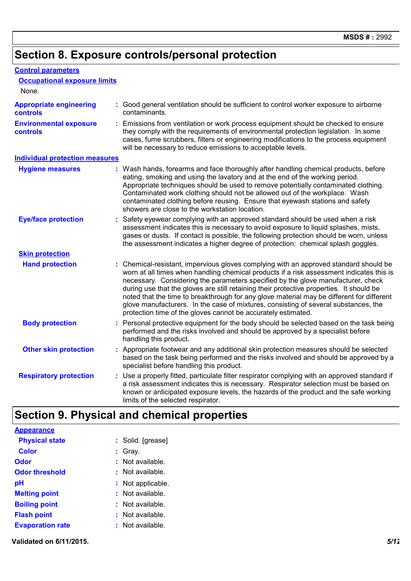# **Section 8. Exposure controls/personal protection**

| <b>Control parameters</b>                         |                                                                                                                                                                                                                                                                                                                                                                                                                                                                                                                                                                                                                        |
|---------------------------------------------------|------------------------------------------------------------------------------------------------------------------------------------------------------------------------------------------------------------------------------------------------------------------------------------------------------------------------------------------------------------------------------------------------------------------------------------------------------------------------------------------------------------------------------------------------------------------------------------------------------------------------|
| <b>Occupational exposure limits</b>               |                                                                                                                                                                                                                                                                                                                                                                                                                                                                                                                                                                                                                        |
| None.                                             |                                                                                                                                                                                                                                                                                                                                                                                                                                                                                                                                                                                                                        |
| <b>Appropriate engineering</b><br><b>controls</b> | : Good general ventilation should be sufficient to control worker exposure to airborne<br>contaminants.                                                                                                                                                                                                                                                                                                                                                                                                                                                                                                                |
| <b>Environmental exposure</b><br>controls         | Emissions from ventilation or work process equipment should be checked to ensure<br>they comply with the requirements of environmental protection legislation. In some<br>cases, fume scrubbers, filters or engineering modifications to the process equipment<br>will be necessary to reduce emissions to acceptable levels.                                                                                                                                                                                                                                                                                          |
| <b>Individual protection measures</b>             |                                                                                                                                                                                                                                                                                                                                                                                                                                                                                                                                                                                                                        |
| <b>Hygiene measures</b>                           | : Wash hands, forearms and face thoroughly after handling chemical products, before<br>eating, smoking and using the lavatory and at the end of the working period.<br>Appropriate techniques should be used to remove potentially contaminated clothing.<br>Contaminated work clothing should not be allowed out of the workplace. Wash<br>contaminated clothing before reusing. Ensure that eyewash stations and safety<br>showers are close to the workstation location.                                                                                                                                            |
| <b>Eye/face protection</b>                        | Safety eyewear complying with an approved standard should be used when a risk<br>assessment indicates this is necessary to avoid exposure to liquid splashes, mists,<br>gases or dusts. If contact is possible, the following protection should be worn, unless<br>the assessment indicates a higher degree of protection: chemical splash goggles.                                                                                                                                                                                                                                                                    |
| <b>Skin protection</b>                            |                                                                                                                                                                                                                                                                                                                                                                                                                                                                                                                                                                                                                        |
| <b>Hand protection</b>                            | : Chemical-resistant, impervious gloves complying with an approved standard should be<br>worn at all times when handling chemical products if a risk assessment indicates this is<br>necessary. Considering the parameters specified by the glove manufacturer, check<br>during use that the gloves are still retaining their protective properties. It should be<br>noted that the time to breakthrough for any glove material may be different for different<br>glove manufacturers. In the case of mixtures, consisting of several substances, the<br>protection time of the gloves cannot be accurately estimated. |
| <b>Body protection</b>                            | Personal protective equipment for the body should be selected based on the task being<br>performed and the risks involved and should be approved by a specialist before<br>handling this product.                                                                                                                                                                                                                                                                                                                                                                                                                      |
| <b>Other skin protection</b>                      | : Appropriate footwear and any additional skin protection measures should be selected<br>based on the task being performed and the risks involved and should be approved by a<br>specialist before handling this product.                                                                                                                                                                                                                                                                                                                                                                                              |
| <b>Respiratory protection</b>                     | : Use a properly fitted, particulate filter respirator complying with an approved standard if<br>a risk assessment indicates this is necessary. Respirator selection must be based on<br>known or anticipated exposure levels, the hazards of the product and the safe working<br>limits of the selected respirator.                                                                                                                                                                                                                                                                                                   |

# **Section 9. Physical and chemical properties**

| <b>Appearance</b>       |                    |
|-------------------------|--------------------|
| <b>Physical state</b>   | : Solid. [grease]  |
| <b>Color</b>            | : Gray.            |
| Odor                    | : Not available.   |
| <b>Odor threshold</b>   | : Not available.   |
| рH                      | : Not applicable.  |
| <b>Melting point</b>    | : Not available.   |
| <b>Boiling point</b>    | : Not available.   |
| <b>Flash point</b>      | : Not available.   |
| <b>Evaporation rate</b> | $:$ Not available. |

**Validated on 6/11/2015.** *5/12*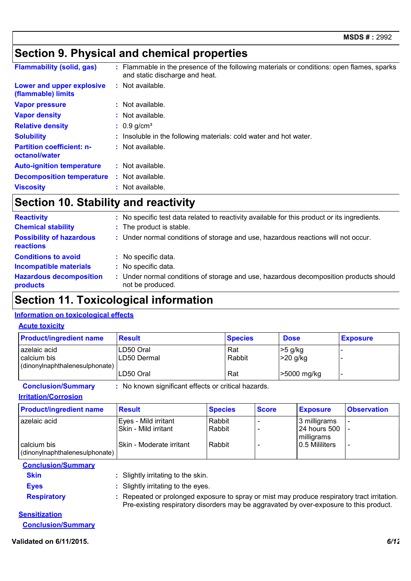# **Section 9. Physical and chemical properties**

| <b>Flammability (solid, gas)</b>                  | : Flammable in the presence of the following materials or conditions: open flames, sparks<br>and static discharge and heat. |
|---------------------------------------------------|-----------------------------------------------------------------------------------------------------------------------------|
| Lower and upper explosive<br>(flammable) limits   | $:$ Not available.                                                                                                          |
| <b>Vapor pressure</b>                             | $:$ Not available.                                                                                                          |
| <b>Vapor density</b>                              | : Not available.                                                                                                            |
| <b>Relative density</b>                           | $: 0.9$ g/cm <sup>3</sup>                                                                                                   |
| <b>Solubility</b>                                 | : Insoluble in the following materials: cold water and hot water.                                                           |
| <b>Partition coefficient: n-</b><br>octanol/water | : Not available.                                                                                                            |
| <b>Auto-ignition temperature</b>                  | : Not available.                                                                                                            |
| <b>Decomposition temperature</b>                  | : Not available.                                                                                                            |
| <b>Viscosity</b>                                  | Not available.                                                                                                              |

# **Section 10. Stability and reactivity**

| <b>Reactivity</b>                                   | : No specific test data related to reactivity available for this product or its ingredients.              |
|-----------------------------------------------------|-----------------------------------------------------------------------------------------------------------|
| <b>Chemical stability</b>                           | : The product is stable.                                                                                  |
| <b>Possibility of hazardous</b><br><b>reactions</b> | : Under normal conditions of storage and use, hazardous reactions will not occur.                         |
| <b>Conditions to avoid</b>                          | : No specific data.                                                                                       |
| <b>Incompatible materials</b>                       | : No specific data.                                                                                       |
| <b>Hazardous decomposition</b><br>products          | : Under normal conditions of storage and use, hazardous decomposition products should<br>not be produced. |

# **Section 11. Toxicological information**

#### **Information on toxicological effects**

#### **Acute toxicity**

| <b>Product/ingredient name</b>                                | <b>Result</b>            | <b>Species</b> | <b>Dose</b>         | <b>Exposure</b> |
|---------------------------------------------------------------|--------------------------|----------------|---------------------|-----------------|
| azelaic acid<br>calcium bis<br>(dinonylnaphthalenesulphonate) | LD50 Oral<br>LD50 Dermal | Rat<br>Rabbit  | >5 g/kg<br>>20 g/kg |                 |
|                                                               | LD50 Oral                | Rat            | >5000 mg/kg         |                 |

**Conclusion/Summary :** No known significant effects or critical hazards.

**Irritation/Corrosion**

| <b>Product/ingredient name</b>                | <b>Result</b>                                       | <b>Species</b>   | <b>Score</b> | <b>Exposure</b>                            | <b>Observation</b> |
|-----------------------------------------------|-----------------------------------------------------|------------------|--------------|--------------------------------------------|--------------------|
| azelaic acid                                  | Eyes - Mild irritant<br><b>Skin - Mild irritant</b> | Rabbit<br>Rabbit |              | 3 milligrams<br>24 hours 500<br>milligrams |                    |
| calcium bis<br>(dinonylnaphthalenesulphonate) | Skin - Moderate irritant                            | Rabbit           |              | 0.5 Mililiters                             |                    |

| <b>Conclusion/Summary</b> |                                                                                                                                                                                     |
|---------------------------|-------------------------------------------------------------------------------------------------------------------------------------------------------------------------------------|
| <b>Skin</b>               | : Slightly irritating to the skin.                                                                                                                                                  |
| <b>Eyes</b>               | : Slightly irritating to the eyes.                                                                                                                                                  |
| <b>Respiratory</b>        | Repeated or prolonged exposure to spray or mist may produce respiratory tract irritation.<br>Pre-existing respiratory disorders may be aggravated by over-exposure to this product. |
| .                         |                                                                                                                                                                                     |

**Sensitization Conclusion/Summary**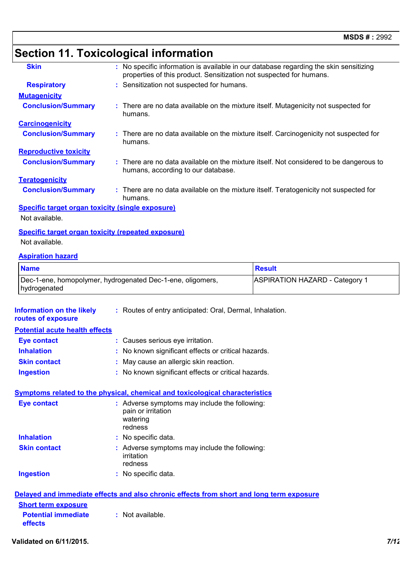# **Section 11. Toxicological information**

| <b>Skin</b>                                      | : No specific information is available in our database regarding the skin sensitizing<br>properties of this product. Sensitization not suspected for humans. |
|--------------------------------------------------|--------------------------------------------------------------------------------------------------------------------------------------------------------------|
| <b>Respiratory</b>                               | : Sensitization not suspected for humans.                                                                                                                    |
| <b>Mutagenicity</b>                              |                                                                                                                                                              |
| <b>Conclusion/Summary</b>                        | : There are no data available on the mixture itself. Mutagenicity not suspected for<br>humans.                                                               |
| <b>Carcinogenicity</b>                           |                                                                                                                                                              |
| <b>Conclusion/Summary</b>                        | : There are no data available on the mixture itself. Carcinogenicity not suspected for<br>humans.                                                            |
| <b>Reproductive toxicity</b>                     |                                                                                                                                                              |
| <b>Conclusion/Summary</b>                        | : There are no data available on the mixture itself. Not considered to be dangerous to<br>humans, according to our database.                                 |
| <b>Teratogenicity</b>                            |                                                                                                                                                              |
| <b>Conclusion/Summary</b>                        | : There are no data available on the mixture itself. Teratogenicity not suspected for<br>humans.                                                             |
| Specific target organ toxicity (single exposure) |                                                                                                                                                              |

Not available.

#### **Specific target organ toxicity (repeated exposure)**

Not available.

#### **Aspiration hazard**

| <b>Name</b>                                                                | <b>Result</b>                         |
|----------------------------------------------------------------------------|---------------------------------------|
| Dec-1-ene, homopolymer, hydrogenated Dec-1-ene, oligomers,<br>hydrogenated | <b>ASPIRATION HAZARD - Category 1</b> |

| <b>Information on the likely</b><br>routes of exposure | : Routes of entry anticipated: Oral, Dermal, Inhalation.                                   |
|--------------------------------------------------------|--------------------------------------------------------------------------------------------|
| <b>Potential acute health effects</b>                  |                                                                                            |
| <b>Eye contact</b>                                     | : Causes serious eye irritation.                                                           |
| <b>Inhalation</b>                                      | : No known significant effects or critical hazards.                                        |
| <b>Skin contact</b>                                    | : May cause an allergic skin reaction.                                                     |
| <b>Ingestion</b>                                       | : No known significant effects or critical hazards.                                        |
|                                                        | Symptoms related to the physical, chemical and toxicological characteristics               |
| <b>Eye contact</b>                                     | : Adverse symptoms may include the following:<br>pain or irritation<br>watering<br>redness |
| <b>Inhalation</b>                                      | : No specific data.                                                                        |
| <b>Skin contact</b>                                    | : Adverse symptoms may include the following:<br>irritation<br>redness                     |
| <b>Ingestion</b>                                       | : No specific data.                                                                        |
| <b>Short ferm exposure</b>                             | Delayed and immediate effects and also chronic effects from short and long term exposure   |

| $:$ Not available. |
|--------------------|
|                    |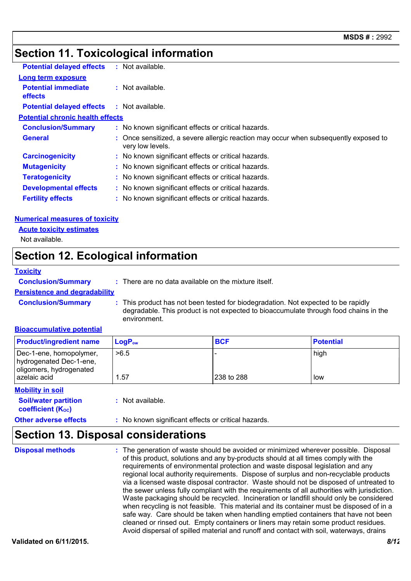### **Section 11. Toxicological information**

| $:$ Not available.<br>Long term exposure<br><b>Potential immediate</b><br>$:$ Not available.<br><b>effects</b><br><b>Potential delayed effects</b><br>: Not available.<br><b>Potential chronic health effects</b><br><b>Conclusion/Summary</b><br>: No known significant effects or critical hazards.<br>: Once sensitized, a severe allergic reaction may occur when subsequently exposed to<br><b>General</b><br>very low levels.<br><b>Carcinogenicity</b><br>: No known significant effects or critical hazards.<br><b>Mutagenicity</b><br>: No known significant effects or critical hazards.<br><b>Teratogenicity</b><br>: No known significant effects or critical hazards.<br><b>Developmental effects</b><br>: No known significant effects or critical hazards.<br>: No known significant effects or critical hazards.<br><b>Fertility effects</b> |                                  |  |
|--------------------------------------------------------------------------------------------------------------------------------------------------------------------------------------------------------------------------------------------------------------------------------------------------------------------------------------------------------------------------------------------------------------------------------------------------------------------------------------------------------------------------------------------------------------------------------------------------------------------------------------------------------------------------------------------------------------------------------------------------------------------------------------------------------------------------------------------------------------|----------------------------------|--|
|                                                                                                                                                                                                                                                                                                                                                                                                                                                                                                                                                                                                                                                                                                                                                                                                                                                              | <b>Potential delayed effects</b> |  |
|                                                                                                                                                                                                                                                                                                                                                                                                                                                                                                                                                                                                                                                                                                                                                                                                                                                              |                                  |  |
|                                                                                                                                                                                                                                                                                                                                                                                                                                                                                                                                                                                                                                                                                                                                                                                                                                                              |                                  |  |
|                                                                                                                                                                                                                                                                                                                                                                                                                                                                                                                                                                                                                                                                                                                                                                                                                                                              |                                  |  |
|                                                                                                                                                                                                                                                                                                                                                                                                                                                                                                                                                                                                                                                                                                                                                                                                                                                              |                                  |  |
|                                                                                                                                                                                                                                                                                                                                                                                                                                                                                                                                                                                                                                                                                                                                                                                                                                                              |                                  |  |
|                                                                                                                                                                                                                                                                                                                                                                                                                                                                                                                                                                                                                                                                                                                                                                                                                                                              |                                  |  |
|                                                                                                                                                                                                                                                                                                                                                                                                                                                                                                                                                                                                                                                                                                                                                                                                                                                              |                                  |  |
|                                                                                                                                                                                                                                                                                                                                                                                                                                                                                                                                                                                                                                                                                                                                                                                                                                                              |                                  |  |
|                                                                                                                                                                                                                                                                                                                                                                                                                                                                                                                                                                                                                                                                                                                                                                                                                                                              |                                  |  |
|                                                                                                                                                                                                                                                                                                                                                                                                                                                                                                                                                                                                                                                                                                                                                                                                                                                              |                                  |  |
|                                                                                                                                                                                                                                                                                                                                                                                                                                                                                                                                                                                                                                                                                                                                                                                                                                                              |                                  |  |

#### **Numerical measures of toxicity**

Not available. **Acute toxicity estimates**

### **Section 12. Ecological information**

#### **Toxicity**

**Conclusion/Summary :** There are no data available on the mixture itself.

#### **Persistence and degradability**

**Conclusion/Summary :** This product has not been tested for biodegradation. Not expected to be rapidly degradable. This product is not expected to bioaccumulate through food chains in the environment.

#### **Bioaccumulative potential**

| <b>Product/ingredient name</b>                                                | $\mathsf{LogP}_\mathsf{ow}$ | <b>BCF</b> | <b>Potential</b> |
|-------------------------------------------------------------------------------|-----------------------------|------------|------------------|
| Dec-1-ene, homopolymer,<br>hydrogenated Dec-1-ene,<br>oligomers, hydrogenated | >6.5                        |            | high             |
| azelaic acid                                                                  | 1.57                        | 238 to 288 | low              |

#### **Soil/water partition Mobility in soil**

**coefficient (Koc)** 

**:** Not available.

#### **Other adverse effects** : No known significant effects or critical hazards.

### **Section 13. Disposal considerations**

The generation of waste should be avoided or minimized wherever possible. Disposal of this product, solutions and any by-products should at all times comply with the requirements of environmental protection and waste disposal legislation and any regional local authority requirements. Dispose of surplus and non-recyclable products via a licensed waste disposal contractor. Waste should not be disposed of untreated to the sewer unless fully compliant with the requirements of all authorities with jurisdiction. Waste packaging should be recycled. Incineration or landfill should only be considered when recycling is not feasible. This material and its container must be disposed of in a safe way. Care should be taken when handling emptied containers that have not been cleaned or rinsed out. Empty containers or liners may retain some product residues. Avoid dispersal of spilled material and runoff and contact with soil, waterways, drains **Disposal methods :**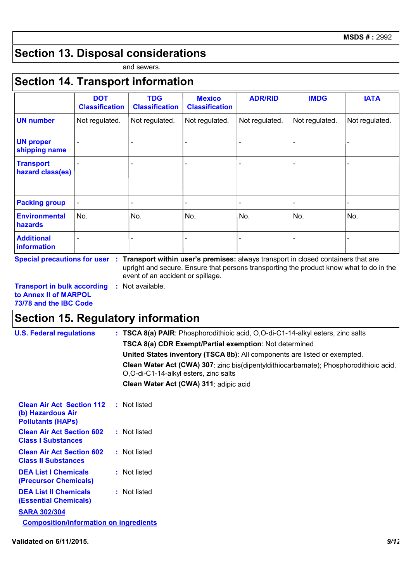## **Section 13. Disposal considerations**

and sewers.

### **Section 14. Transport information**

|                                      | <b>DOT</b><br><b>Classification</b> | <b>TDG</b><br><b>Classification</b> | <b>Mexico</b><br><b>Classification</b> | <b>ADR/RID</b> | <b>IMDG</b>    | <b>IATA</b>    |
|--------------------------------------|-------------------------------------|-------------------------------------|----------------------------------------|----------------|----------------|----------------|
| <b>UN number</b>                     | Not regulated.                      | Not regulated.                      | Not regulated.                         | Not regulated. | Not regulated. | Not regulated. |
| <b>UN proper</b><br>shipping name    |                                     |                                     |                                        |                |                |                |
| <b>Transport</b><br>hazard class(es) |                                     |                                     |                                        |                |                |                |
| <b>Packing group</b>                 |                                     | -                                   | -                                      |                |                |                |
| <b>Environmental</b><br>hazards      | No.                                 | No.                                 | No.                                    | No.            | No.            | No.            |
| <b>Additional</b><br>information     |                                     |                                     |                                        |                |                |                |

**Special precautions for user Transport within user's premises:** always transport in closed containers that are **:** upright and secure. Ensure that persons transporting the product know what to do in the event of an accident or spillage.

**Transport in bulk according :** Not available. **to Annex II of MARPOL 73/78 and the IBC Code**

### **Section 15. Regulatory information**

| <b>U.S. Federal regulations</b>                                                   | : TSCA 8(a) PAIR: Phosphorodithioic acid, O,O-di-C1-14-alkyl esters, zinc salts                                                |
|-----------------------------------------------------------------------------------|--------------------------------------------------------------------------------------------------------------------------------|
|                                                                                   | <b>TSCA 8(a) CDR Exempt/Partial exemption: Not determined</b>                                                                  |
|                                                                                   | United States inventory (TSCA 8b): All components are listed or exempted.                                                      |
|                                                                                   | Clean Water Act (CWA) 307: zinc bis(dipentyldithiocarbamate); Phosphorodithioic acid,<br>O,O-di-C1-14-alkyl esters, zinc salts |
|                                                                                   | Clean Water Act (CWA) 311: adipic acid                                                                                         |
| <b>Clean Air Act Section 112</b><br>(b) Hazardous Air<br><b>Pollutants (HAPS)</b> | : Not listed                                                                                                                   |
| <b>Clean Air Act Section 602</b><br><b>Class I Substances</b>                     | : Not listed                                                                                                                   |
| <b>Clean Air Act Section 602</b><br><b>Class II Substances</b>                    | : Not listed                                                                                                                   |
| <b>DEA List I Chemicals</b><br>(Precursor Chemicals)                              | : Not listed                                                                                                                   |
| <b>DEA List II Chemicals</b><br><b>(Essential Chemicals)</b>                      | : Not listed                                                                                                                   |
| <b>SARA 302/304</b>                                                               |                                                                                                                                |
| <b>Composition/information on ingredients</b>                                     |                                                                                                                                |
|                                                                                   |                                                                                                                                |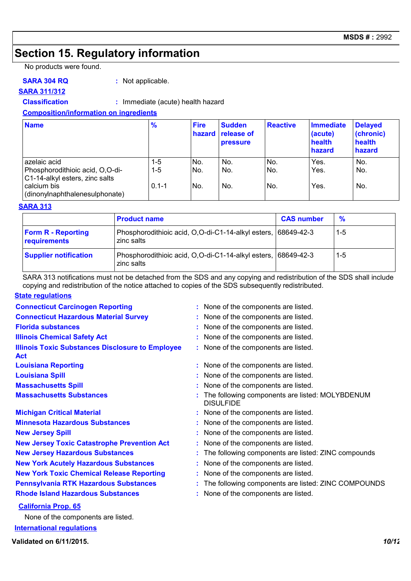### **Section 15. Regulatory information**

No products were found.

#### **SARA 304 RQ :** Not applicable.

**SARA 311/312**

**Classification :** Immediate (acute) health hazard

#### **Composition/information on ingredients**

| <b>Name</b>                                                                                                                        | $\frac{9}{6}$             | <b>Fire</b><br>hazard | <b>Sudden</b><br>release of<br><b>pressure</b> | <b>Reactive</b>   | <b>Immediate</b><br>(acute)<br>health<br>hazard | <b>Delayed</b><br>(chronic)<br>health<br>hazard |
|------------------------------------------------------------------------------------------------------------------------------------|---------------------------|-----------------------|------------------------------------------------|-------------------|-------------------------------------------------|-------------------------------------------------|
| azelaic acid<br>Phosphorodithioic acid, O,O-di-<br>C1-14-alkyl esters, zinc salts<br>calcium bis<br>(dinonylnaphthalenesulphonate) | 1-5<br>$1-5$<br>$0.1 - 1$ | No.<br>No.<br>No.     | No.<br>No.<br>No.                              | No.<br>No.<br>No. | Yes.<br>Yes.<br>Yes.                            | No.<br>No.<br>No.                               |

#### **SARA 313**

|                                           | <b>Product name</b>                                                         | <b>CAS number</b> | $\%$  |
|-------------------------------------------|-----------------------------------------------------------------------------|-------------------|-------|
| <b>Form R - Reporting</b><br>requirements | Phosphorodithioic acid, O,O-di-C1-14-alkyl esters, 68649-42-3<br>zinc salts |                   | 1-5   |
| <b>Supplier notification</b>              | Phosphorodithioic acid, O,O-di-C1-14-alkyl esters, 68649-42-3<br>zinc salts |                   | $1-5$ |

SARA 313 notifications must not be detached from the SDS and any copying and redistribution of the SDS shall include copying and redistribution of the notice attached to copies of the SDS subsequently redistributed.

#### **State regulations**

| <b>Connecticut Carcinogen Reporting</b>                               | : None of the components are listed.                                |
|-----------------------------------------------------------------------|---------------------------------------------------------------------|
| <b>Connecticut Hazardous Material Survey</b>                          | : None of the components are listed.                                |
| <b>Florida substances</b>                                             | : None of the components are listed.                                |
| <b>Illinois Chemical Safety Act</b>                                   | : None of the components are listed.                                |
| <b>Illinois Toxic Substances Disclosure to Employee</b><br><b>Act</b> | : None of the components are listed.                                |
| <b>Louisiana Reporting</b>                                            | : None of the components are listed.                                |
| <b>Louisiana Spill</b>                                                | : None of the components are listed.                                |
| <b>Massachusetts Spill</b>                                            | None of the components are listed.                                  |
| <b>Massachusetts Substances</b>                                       | The following components are listed: MOLYBDENUM<br><b>DISULFIDE</b> |
| <b>Michigan Critical Material</b>                                     | : None of the components are listed.                                |
| <b>Minnesota Hazardous Substances</b>                                 | : None of the components are listed.                                |
| <b>New Jersey Spill</b>                                               | : None of the components are listed.                                |
| <b>New Jersey Toxic Catastrophe Prevention Act</b>                    | : None of the components are listed.                                |
| <b>New Jersey Hazardous Substances</b>                                | : The following components are listed: ZINC compounds               |
| <b>New York Acutely Hazardous Substances</b>                          | : None of the components are listed.                                |
| <b>New York Toxic Chemical Release Reporting</b>                      | : None of the components are listed.                                |
| <b>Pennsylvania RTK Hazardous Substances</b>                          | : The following components are listed: ZINC COMPOUNDS               |
| <b>Rhode Island Hazardous Substances</b>                              | : None of the components are listed.                                |
| <b>California Prop. 65</b>                                            |                                                                     |
| Nano of the components are listed                                     |                                                                     |

**International regulations** None of the components are listed.

**Validated on 6/11/2015.** *10/12*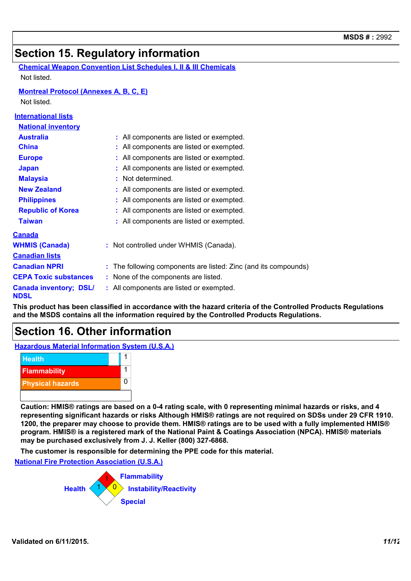### **Section 15. Regulatory information**

| <b>Chemical Weapon Convention List Schedules I, II &amp; III Chemicals</b> |  |
|----------------------------------------------------------------------------|--|
| Not listed.                                                                |  |

#### **Montreal Protocol (Annexes A, B, C, E)**

Not listed.

**International lists**

| <u>MIGHAMUHAI IISLS</u>                      |                                                                 |
|----------------------------------------------|-----------------------------------------------------------------|
| <b>National inventory</b>                    |                                                                 |
| <b>Australia</b>                             | : All components are listed or exempted.                        |
| <b>China</b>                                 | : All components are listed or exempted.                        |
| <b>Europe</b>                                | : All components are listed or exempted.                        |
| <b>Japan</b>                                 | : All components are listed or exempted.                        |
| <b>Malaysia</b>                              | : Not determined.                                               |
| <b>New Zealand</b>                           | : All components are listed or exempted.                        |
| <b>Philippines</b>                           | : All components are listed or exempted.                        |
| <b>Republic of Korea</b>                     | : All components are listed or exempted.                        |
| <b>Taiwan</b>                                | : All components are listed or exempted.                        |
| <b>Canada</b>                                |                                                                 |
| <b>WHMIS (Canada)</b>                        | : Not controlled under WHMIS (Canada).                          |
| <b>Canadian lists</b>                        |                                                                 |
| <b>Canadian NPRI</b>                         | : The following components are listed: Zinc (and its compounds) |
| <b>CEPA Toxic substances</b>                 | : None of the components are listed.                            |
| <b>Canada inventory; DSL/</b><br><b>NDSL</b> | : All components are listed or exempted.                        |

**This product has been classified in accordance with the hazard criteria of the Controlled Products Regulations and the MSDS contains all the information required by the Controlled Products Regulations.**

### **Section 16. Other information**

**Hazardous Material Information System (U.S.A.)**



**Caution: HMIS® ratings are based on a 0-4 rating scale, with 0 representing minimal hazards or risks, and 4 representing significant hazards or risks Although HMIS® ratings are not required on SDSs under 29 CFR 1910. 1200, the preparer may choose to provide them. HMIS® ratings are to be used with a fully implemented HMIS® program. HMIS® is a registered mark of the National Paint & Coatings Association (NPCA). HMIS® materials may be purchased exclusively from J. J. Keller (800) 327-6868.**

**The customer is responsible for determining the PPE code for this material.**

**National Fire Protection Association (U.S.A.)**